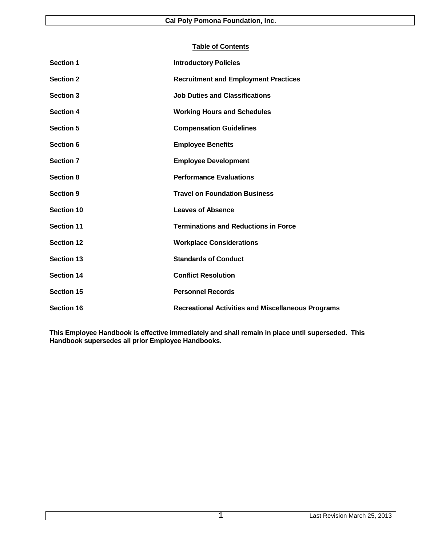# **Table of Contents**

| <b>Section 1</b>  | <b>Introductory Policies</b>                              |
|-------------------|-----------------------------------------------------------|
| <b>Section 2</b>  | <b>Recruitment and Employment Practices</b>               |
| <b>Section 3</b>  | <b>Job Duties and Classifications</b>                     |
| <b>Section 4</b>  | <b>Working Hours and Schedules</b>                        |
| <b>Section 5</b>  | <b>Compensation Guidelines</b>                            |
| Section 6         | <b>Employee Benefits</b>                                  |
| <b>Section 7</b>  | <b>Employee Development</b>                               |
| <b>Section 8</b>  | <b>Performance Evaluations</b>                            |
| <b>Section 9</b>  | <b>Travel on Foundation Business</b>                      |
| Section 10        | <b>Leaves of Absence</b>                                  |
| <b>Section 11</b> | <b>Terminations and Reductions in Force</b>               |
| <b>Section 12</b> | <b>Workplace Considerations</b>                           |
| <b>Section 13</b> | <b>Standards of Conduct</b>                               |
| <b>Section 14</b> | <b>Conflict Resolution</b>                                |
| Section 15        | <b>Personnel Records</b>                                  |
| <b>Section 16</b> | <b>Recreational Activities and Miscellaneous Programs</b> |

**This Employee Handbook is effective immediately and shall remain in place until superseded. This Handbook supersedes all prior Employee Handbooks.**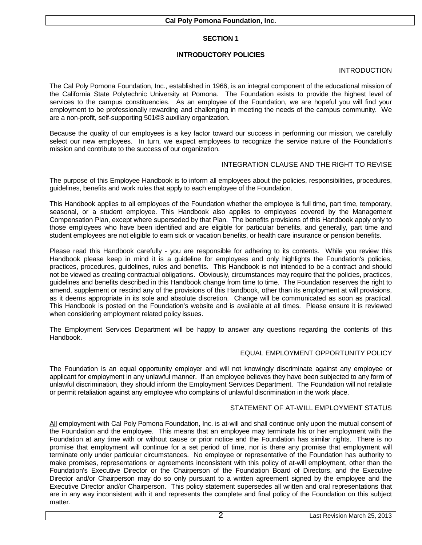# **INTRODUCTORY POLICIES**

# INTRODUCTION

The Cal Poly Pomona Foundation, Inc., established in 1966, is an integral component of the educational mission of the California State Polytechnic University at Pomona. The Foundation exists to provide the highest level of services to the campus constituencies. As an employee of the Foundation, we are hopeful you will find your employment to be professionally rewarding and challenging in meeting the needs of the campus community. We are a non-profit, self-supporting 501©3 auxiliary organization.

Because the quality of our employees is a key factor toward our success in performing our mission, we carefully select our new employees. In turn, we expect employees to recognize the service nature of the Foundation's mission and contribute to the success of our organization.

#### INTEGRATION CLAUSE AND THE RIGHT TO REVISE

The purpose of this Employee Handbook is to inform all employees about the policies, responsibilities, procedures, guidelines, benefits and work rules that apply to each employee of the Foundation.

This Handbook applies to all employees of the Foundation whether the employee is full time, part time, temporary, seasonal, or a student employee. This Handbook also applies to employees covered by the Management Compensation Plan, except where superseded by that Plan. The benefits provisions of this Handbook apply only to those employees who have been identified and are eligible for particular benefits, and generally, part time and student employees are not eligible to earn sick or vacation benefits, or health care insurance or pension benefits.

Please read this Handbook carefully - you are responsible for adhering to its contents. While you review this Handbook please keep in mind it is a guideline for employees and only highlights the Foundation's policies, practices, procedures, guidelines, rules and benefits. This Handbook is not intended to be a contract and should not be viewed as creating contractual obligations. Obviously, circumstances may require that the policies, practices, guidelines and benefits described in this Handbook change from time to time. The Foundation reserves the right to amend, supplement or rescind any of the provisions of this Handbook, other than its employment at will provisions, as it deems appropriate in its sole and absolute discretion. Change will be communicated as soon as practical. This Handbook is posted on the Foundation's website and is available at all times. Please ensure it is reviewed when considering employment related policy issues.

The Employment Services Department will be happy to answer any questions regarding the contents of this Handbook.

#### EQUAL EMPLOYMENT OPPORTUNITY POLICY

The Foundation is an equal opportunity employer and will not knowingly discriminate against any employee or applicant for employment in any unlawful manner. If an employee believes they have been subjected to any form of unlawful discrimination, they should inform the Employment Services Department. The Foundation will not retaliate or permit retaliation against any employee who complains of unlawful discrimination in the work place.

#### STATEMENT OF AT-WILL EMPLOYMENT STATUS

All employment with Cal Poly Pomona Foundation, Inc. is at-will and shall continue only upon the mutual consent of the Foundation and the employee. This means that an employee may terminate his or her employment with the Foundation at any time with or without cause or prior notice and the Foundation has similar rights. There is no promise that employment will continue for a set period of time, nor is there any promise that employment will terminate only under particular circumstances. No employee or representative of the Foundation has authority to make promises, representations or agreements inconsistent with this policy of at-will employment, other than the Foundation's Executive Director or the Chairperson of the Foundation Board of Directors, and the Executive Director and/or Chairperson may do so only pursuant to a written agreement signed by the employee and the Executive Director and/or Chairperson. This policy statement supersedes all written and oral representations that are in any way inconsistent with it and represents the complete and final policy of the Foundation on this subject matter.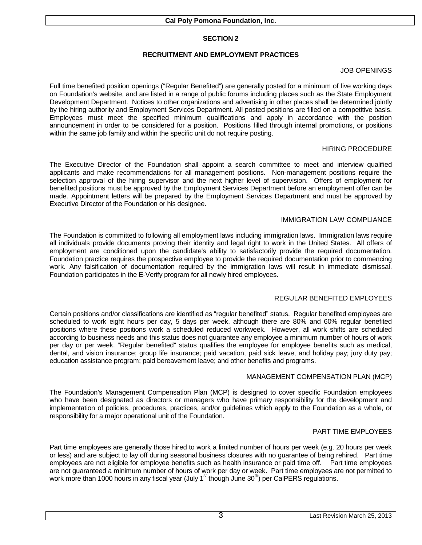# **RECRUITMENT AND EMPLOYMENT PRACTICES**

# JOB OPENINGS

Full time benefited position openings ("Regular Benefited") are generally posted for a minimum of five working days on Foundation's website, and are listed in a range of public forums including places such as the State Employment Development Department. Notices to other organizations and advertising in other places shall be determined jointly by the hiring authority and Employment Services Department. All posted positions are filled on a competitive basis. Employees must meet the specified minimum qualifications and apply in accordance with the position announcement in order to be considered for a position. Positions filled through internal promotions, or positions within the same job family and within the specific unit do not require posting.

## HIRING PROCEDURE

The Executive Director of the Foundation shall appoint a search committee to meet and interview qualified applicants and make recommendations for all management positions. Non-management positions require the selection approval of the hiring supervisor and the next higher level of supervision. Offers of employment for benefited positions must be approved by the Employment Services Department before an employment offer can be made. Appointment letters will be prepared by the Employment Services Department and must be approved by Executive Director of the Foundation or his designee.

## IMMIGRATION LAW COMPLIANCE

The Foundation is committed to following all employment laws including immigration laws. Immigration laws require all individuals provide documents proving their identity and legal right to work in the United States. All offers of employment are conditioned upon the candidate's ability to satisfactorily provide the required documentation. Foundation practice requires the prospective employee to provide the required documentation prior to commencing work. Any falsification of documentation required by the immigration laws will result in immediate dismissal. Foundation participates in the E-Verify program for all newly hired employees.

#### REGULAR BENEFITED EMPLOYEES

Certain positions and/or classifications are identified as "regular benefited" status. Regular benefited employees are scheduled to work eight hours per day, 5 days per week, although there are 80% and 60% regular benefited positions where these positions work a scheduled reduced workweek. However, all work shifts are scheduled according to business needs and this status does not guarantee any employee a minimum number of hours of work per day or per week. "Regular benefited" status qualifies the employee for employee benefits such as medical, dental, and vision insurance; group life insurance; paid vacation, paid sick leave, and holiday pay; jury duty pay; education assistance program; paid bereavement leave; and other benefits and programs.

#### MANAGEMENT COMPENSATION PLAN (MCP)

The Foundation's Management Compensation Plan (MCP) is designed to cover specific Foundation employees who have been designated as directors or managers who have primary responsibility for the development and implementation of policies, procedures, practices, and/or guidelines which apply to the Foundation as a whole, or responsibility for a major operational unit of the Foundation.

## PART TIME EMPLOYEES

Part time employees are generally those hired to work a limited number of hours per week (e.g. 20 hours per week or less) and are subject to lay off during seasonal business closures with no guarantee of being rehired. Part time employees are not eligible for employee benefits such as health insurance or paid time off. Part time employees are not guaranteed a minimum number of hours of work per day or week. Part time employees are not permitted to work more than 1000 hours in any fiscal year (July  $1<sup>st</sup>$  though June  $30<sup>th</sup>$ ) per CalPERS regulations.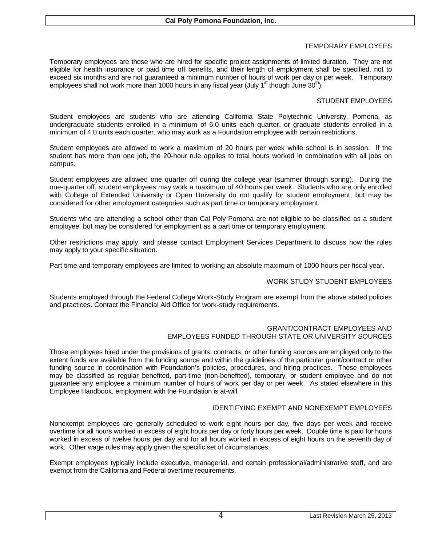# TEMPORARY EMPLOYEES

Temporary employees are those who are hired for specific project assignments of limited duration. They are not eligible for health insurance or paid time off benefits, and their length of employment shall be specified, not to exceed six months and are not guaranteed a minimum number of hours of work per day or per week. Temporary employees shall not work more than 1000 hours in any fiscal year (July 1<sup>st</sup> though June 30<sup>th</sup>).

# STUDENT EMPLOYEES

Student employees are students who are attending California State Polytechnic University, Pomona, as undergraduate students enrolled in a minimum of 6.0 units each quarter, or graduate students enrolled in a minimum of 4.0 units each quarter, who may work as a Foundation employee with certain restrictions.

Student employees are allowed to work a maximum of 20 hours per week while school is in session. If the student has more than one job, the 20-hour rule applies to total hours worked in combination with all jobs on campus.

Student employees are allowed one quarter off during the college year (summer through spring). During the one-quarter off, student employees may work a maximum of 40 hours per week. Students who are only enrolled with College of Extended University or Open University do not qualify for student employment, but may be considered for other employment categories such as part time or temporary employment.

Students who are attending a school other than Cal Poly Pomona are not eligible to be classified as a student employee, but may be considered for employment as a part time or temporary employment.

Other restrictions may apply, and please contact Employment Services Department to discuss how the rules may apply to your specific situation.

Part time and temporary employees are limited to working an absolute maximum of 1000 hours per fiscal year.

# WORK STUDY STUDENT EMPLOYEES

Students employed through the Federal College Work-Study Program are exempt from the above stated policies and practices. Contact the Financial Aid Office for work-study requirements.

#### GRANT/CONTRACT EMPLOYEES AND EMPLOYEES FUNDED THROUGH STATE OR UNIVERSITY SOURCES

Those employees hired under the provisions of grants, contracts, or other funding sources are employed only to the extent funds are available from the funding source and within the guidelines of the particular grant/contract or other funding source in coordination with Foundation's policies, procedures, and hiring practices. These employees may be classified as regular benefited, part-time (non-benefited), temporary, or student employee and do not guarantee any employee a minimum number of hours of work per day or per week. As stated elsewhere in this Employee Handbook, employment with the Foundation is at-will.

#### IDENTIFYING EXEMPT AND NONEXEMPT EMPLOYEES

Nonexempt employees are generally scheduled to work eight hours per day, five days per week and receive overtime for all hours worked in excess of eight hours per day or forty hours per week. Double time is paid for hours worked in excess of twelve hours per day and for all hours worked in excess of eight hours on the seventh day of work. Other wage rules may apply given the specific set of circumstances.

Exempt employees typically include executive, managerial, and certain professional/administrative staff, and are exempt from the California and Federal overtime requirements.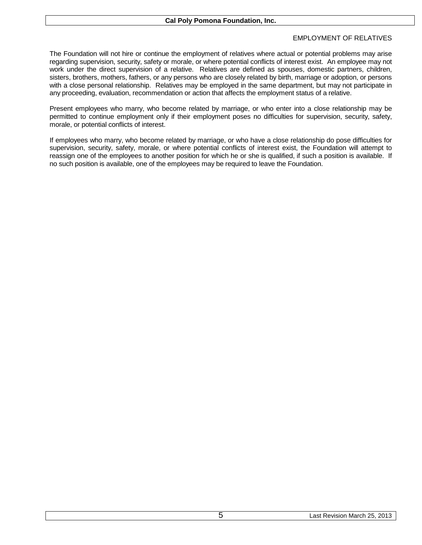# EMPLOYMENT OF RELATIVES

The Foundation will not hire or continue the employment of relatives where actual or potential problems may arise regarding supervision, security, safety or morale, or where potential conflicts of interest exist. An employee may not work under the direct supervision of a relative. Relatives are defined as spouses, domestic partners, children, sisters, brothers, mothers, fathers, or any persons who are closely related by birth, marriage or adoption, or persons with a close personal relationship. Relatives may be employed in the same department, but may not participate in any proceeding, evaluation, recommendation or action that affects the employment status of a relative.

Present employees who marry, who become related by marriage, or who enter into a close relationship may be permitted to continue employment only if their employment poses no difficulties for supervision, security, safety, morale, or potential conflicts of interest.

If employees who marry, who become related by marriage, or who have a close relationship do pose difficulties for supervision, security, safety, morale, or where potential conflicts of interest exist, the Foundation will attempt to reassign one of the employees to another position for which he or she is qualified, if such a position is available. If no such position is available, one of the employees may be required to leave the Foundation.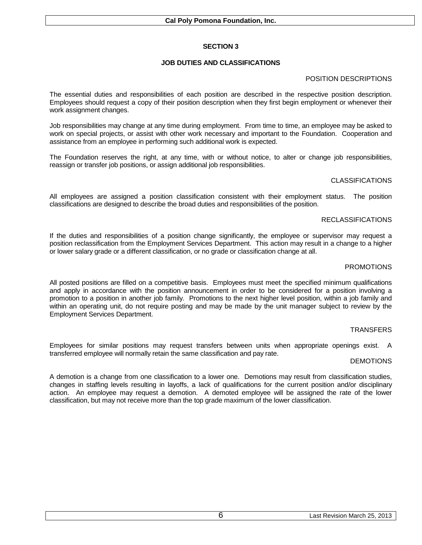# **JOB DUTIES AND CLASSIFICATIONS**

## POSITION DESCRIPTIONS

The essential duties and responsibilities of each position are described in the respective position description. Employees should request a copy of their position description when they first begin employment or whenever their work assignment changes.

Job responsibilities may change at any time during employment. From time to time, an employee may be asked to work on special projects, or assist with other work necessary and important to the Foundation. Cooperation and assistance from an employee in performing such additional work is expected.

The Foundation reserves the right, at any time, with or without notice, to alter or change job responsibilities, reassign or transfer job positions, or assign additional job responsibilities.

## CLASSIFICATIONS

All employees are assigned a position classification consistent with their employment status. The position classifications are designed to describe the broad duties and responsibilities of the position.

## RECLASSIFICATIONS

If the duties and responsibilities of a position change significantly, the employee or supervisor may request a position reclassification from the Employment Services Department. This action may result in a change to a higher or lower salary grade or a different classification, or no grade or classification change at all.

## PROMOTIONS

All posted positions are filled on a competitive basis. Employees must meet the specified minimum qualifications and apply in accordance with the position announcement in order to be considered for a position involving a promotion to a position in another job family. Promotions to the next higher level position, within a job family and within an operating unit, do not require posting and may be made by the unit manager subject to review by the Employment Services Department.

#### **TRANSFERS**

Employees for similar positions may request transfers between units when appropriate openings exist. A transferred employee will normally retain the same classification and pay rate.

#### DEMOTIONS

A demotion is a change from one classification to a lower one. Demotions may result from classification studies, changes in staffing levels resulting in layoffs, a lack of qualifications for the current position and/or disciplinary action. An employee may request a demotion. A demoted employee will be assigned the rate of the lower classification, but may not receive more than the top grade maximum of the lower classification.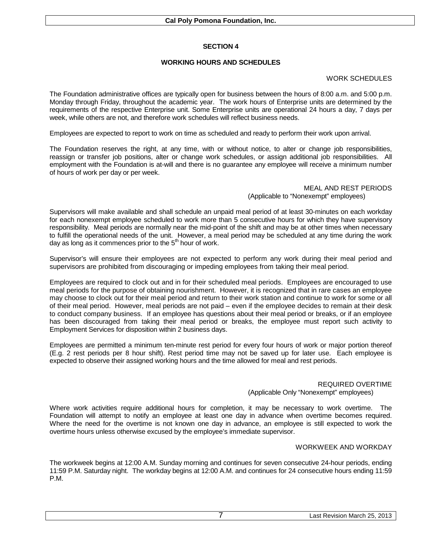# **WORKING HOURS AND SCHEDULES**

#### WORK SCHEDULES

The Foundation administrative offices are typically open for business between the hours of 8:00 a.m. and 5:00 p.m. Monday through Friday, throughout the academic year. The work hours of Enterprise units are determined by the requirements of the respective Enterprise unit. Some Enterprise units are operational 24 hours a day, 7 days per week, while others are not, and therefore work schedules will reflect business needs.

Employees are expected to report to work on time as scheduled and ready to perform their work upon arrival.

The Foundation reserves the right, at any time, with or without notice, to alter or change job responsibilities, reassign or transfer job positions, alter or change work schedules, or assign additional job responsibilities. All employment with the Foundation is at-will and there is no guarantee any employee will receive a minimum number of hours of work per day or per week.

> MEAL AND REST PERIODS (Applicable to "Nonexempt" employees)

Supervisors will make available and shall schedule an unpaid meal period of at least 30-minutes on each workday for each nonexempt employee scheduled to work more than 5 consecutive hours for which they have supervisory responsibility. Meal periods are normally near the mid-point of the shift and may be at other times when necessary to fulfill the operational needs of the unit. However, a meal period may be scheduled at any time during the work day as long as it commences prior to the  $5<sup>th</sup>$  hour of work.

Supervisor's will ensure their employees are not expected to perform any work during their meal period and supervisors are prohibited from discouraging or impeding employees from taking their meal period.

Employees are required to clock out and in for their scheduled meal periods. Employees are encouraged to use meal periods for the purpose of obtaining nourishment. However, it is recognized that in rare cases an employee may choose to clock out for their meal period and return to their work station and continue to work for some or all of their meal period. However, meal periods are not paid – even if the employee decides to remain at their desk to conduct company business. If an employee has questions about their meal period or breaks, or if an employee has been discouraged from taking their meal period or breaks, the employee must report such activity to Employment Services for disposition within 2 business days.

Employees are permitted a minimum ten-minute rest period for every four hours of work or major portion thereof (E.g. 2 rest periods per 8 hour shift). Rest period time may not be saved up for later use. Each employee is expected to observe their assigned working hours and the time allowed for meal and rest periods.

## REQUIRED OVERTIME (Applicable Only "Nonexempt" employees)

Where work activities require additional hours for completion, it may be necessary to work overtime. The Foundation will attempt to notify an employee at least one day in advance when overtime becomes required. Where the need for the overtime is not known one day in advance, an employee is still expected to work the overtime hours unless otherwise excused by the employee's immediate supervisor.

#### WORKWEEK AND WORKDAY

The workweek begins at 12:00 A.M. Sunday morning and continues for seven consecutive 24-hour periods, ending 11:59 P.M. Saturday night. The workday begins at 12:00 A.M. and continues for 24 consecutive hours ending 11:59 P.M.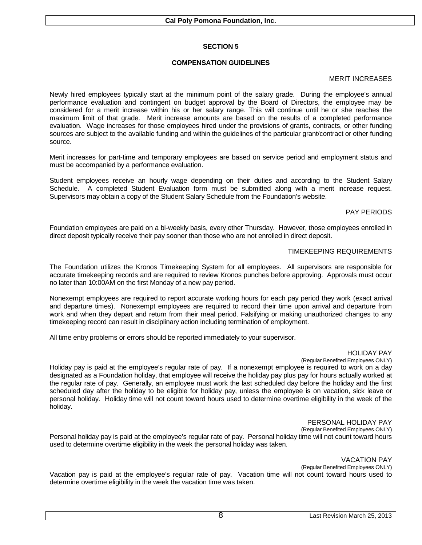# **COMPENSATION GUIDELINES**

#### MERIT INCREASES

Newly hired employees typically start at the minimum point of the salary grade. During the employee's annual performance evaluation and contingent on budget approval by the Board of Directors, the employee may be considered for a merit increase within his or her salary range. This will continue until he or she reaches the maximum limit of that grade. Merit increase amounts are based on the results of a completed performance evaluation. Wage increases for those employees hired under the provisions of grants, contracts, or other funding sources are subject to the available funding and within the guidelines of the particular grant/contract or other funding source.

Merit increases for part-time and temporary employees are based on service period and employment status and must be accompanied by a performance evaluation.

Student employees receive an hourly wage depending on their duties and according to the Student Salary Schedule. A completed Student Evaluation form must be submitted along with a merit increase request. Supervisors may obtain a copy of the Student Salary Schedule from the Foundation's website.

## PAY PERIODS

Foundation employees are paid on a bi-weekly basis, every other Thursday. However, those employees enrolled in direct deposit typically receive their pay sooner than those who are not enrolled in direct deposit.

## TIMEKEEPING REQUIREMENTS

The Foundation utilizes the Kronos Timekeeping System for all employees. All supervisors are responsible for accurate timekeeping records and are required to review Kronos punches before approving. Approvals must occur no later than 10:00AM on the first Monday of a new pay period.

Nonexempt employees are required to report accurate working hours for each pay period they work (exact arrival and departure times). Nonexempt employees are required to record their time upon arrival and departure from work and when they depart and return from their meal period. Falsifying or making unauthorized changes to any timekeeping record can result in disciplinary action including termination of employment.

All time entry problems or errors should be reported immediately to your supervisor.

#### HOLIDAY PAY

(Regular Benefited Employees ONLY)

Holiday pay is paid at the employee's regular rate of pay. If a nonexempt employee is required to work on a day designated as a Foundation holiday, that employee will receive the holiday pay plus pay for hours actually worked at the regular rate of pay. Generally, an employee must work the last scheduled day before the holiday and the first scheduled day after the holiday to be eligible for holiday pay, unless the employee is on vacation, sick leave or personal holiday. Holiday time will not count toward hours used to determine overtime eligibility in the week of the holiday.

#### PERSONAL HOLIDAY PAY

(Regular Benefited Employees ONLY)

Personal holiday pay is paid at the employee's regular rate of pay. Personal holiday time will not count toward hours used to determine overtime eligibility in the week the personal holiday was taken.

#### VACATION PAY

(Regular Benefited Employees ONLY)

Vacation pay is paid at the employee's regular rate of pay. Vacation time will not count toward hours used to determine overtime eligibility in the week the vacation time was taken.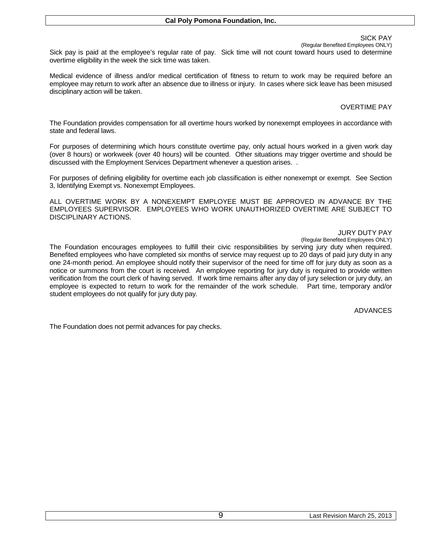#### SICK PAY

(Regular Benefited Employees ONLY)

Sick pay is paid at the employee's regular rate of pay. Sick time will not count toward hours used to determine overtime eligibility in the week the sick time was taken.

Medical evidence of illness and/or medical certification of fitness to return to work may be required before an employee may return to work after an absence due to illness or injury. In cases where sick leave has been misused disciplinary action will be taken.

### OVERTIME PAY

The Foundation provides compensation for all overtime hours worked by nonexempt employees in accordance with state and federal laws.

For purposes of determining which hours constitute overtime pay, only actual hours worked in a given work day (over 8 hours) or workweek (over 40 hours) will be counted. Other situations may trigger overtime and should be discussed with the Employment Services Department whenever a question arises. .

For purposes of defining eligibility for overtime each job classification is either nonexempt or exempt. See Section 3, Identifying Exempt vs. Nonexempt Employees.

ALL OVERTIME WORK BY A NONEXEMPT EMPLOYEE MUST BE APPROVED IN ADVANCE BY THE EMPLOYEES SUPERVISOR. EMPLOYEES WHO WORK UNAUTHORIZED OVERTIME ARE SUBJECT TO DISCIPLINARY ACTIONS.

#### JURY DUTY PAY

(Regular Benefited Employees ONLY)

The Foundation encourages employees to fulfill their civic responsibilities by serving jury duty when required. Benefited employees who have completed six months of service may request up to 20 days of paid jury duty in any one 24-month period. An employee should notify their supervisor of the need for time off for jury duty as soon as a notice or summons from the court is received. An employee reporting for jury duty is required to provide written verification from the court clerk of having served. If work time remains after any day of jury selection or jury duty, an employee is expected to return to work for the remainder of the work schedule. Part time, temporary and/or student employees do not qualify for jury duty pay.

#### ADVANCES

The Foundation does not permit advances for pay checks.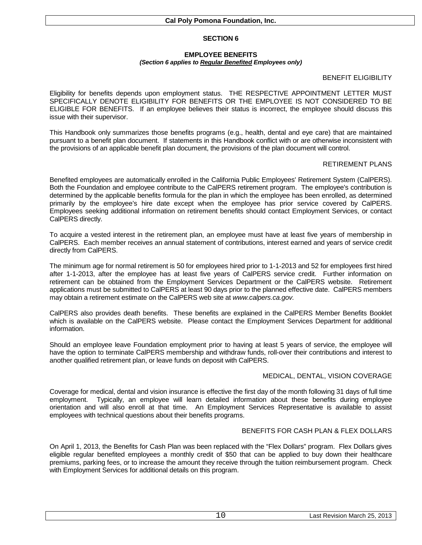#### **EMPLOYEE BENEFITS** *(Section 6 applies to Regular Benefited Employees only)*

# BENEFIT ELIGIBILITY

Eligibility for benefits depends upon employment status. THE RESPECTIVE APPOINTMENT LETTER MUST SPECIFICALLY DENOTE ELIGIBILITY FOR BENEFITS OR THE EMPLOYEE IS NOT CONSIDERED TO BE ELIGIBLE FOR BENEFITS. If an employee believes their status is incorrect, the employee should discuss this issue with their supervisor.

This Handbook only summarizes those benefits programs (e.g., health, dental and eye care) that are maintained pursuant to a benefit plan document. If statements in this Handbook conflict with or are otherwise inconsistent with the provisions of an applicable benefit plan document, the provisions of the plan document will control.

## RETIREMENT PLANS

Benefited employees are automatically enrolled in the California Public Employees' Retirement System (CalPERS). Both the Foundation and employee contribute to the CalPERS retirement program. The employee's contribution is determined by the applicable benefits formula for the plan in which the employee has been enrolled, as determined primarily by the employee's hire date except when the employee has prior service covered by CalPERS. Employees seeking additional information on retirement benefits should contact Employment Services, or contact CalPERS directly.

To acquire a vested interest in the retirement plan, an employee must have at least five years of membership in CalPERS. Each member receives an annual statement of contributions, interest earned and years of service credit directly from CalPERS.

The minimum age for normal retirement is 50 for employees hired prior to 1-1-2013 and 52 for employees first hired after 1-1-2013, after the employee has at least five years of CalPERS service credit. Further information on retirement can be obtained from the Employment Services Department or the CalPERS website. Retirement applications must be submitted to CalPERS at least 90 days prior to the planned effective date. CalPERS members may obtain a retirement estimate on the CalPERS web site at *www.calpers.ca.gov.*

CalPERS also provides death benefits. These benefits are explained in the CalPERS Member Benefits Booklet which is available on the CalPERS website. Please contact the Employment Services Department for additional information.

Should an employee leave Foundation employment prior to having at least 5 years of service, the employee will have the option to terminate CalPERS membership and withdraw funds, roll-over their contributions and interest to another qualified retirement plan, or leave funds on deposit with CalPERS.

# MEDICAL, DENTAL, VISION COVERAGE

Coverage for medical, dental and vision insurance is effective the first day of the month following 31 days of full time employment. Typically, an employee will learn detailed information about these benefits during employee orientation and will also enroll at that time. An Employment Services Representative is available to assist employees with technical questions about their benefits programs.

# BENEFITS FOR CASH PLAN & FLEX DOLLARS

On April 1, 2013, the Benefits for Cash Plan was been replaced with the "Flex Dollars" program. Flex Dollars gives eligible regular benefited employees a monthly credit of \$50 that can be applied to buy down their healthcare premiums, parking fees, or to increase the amount they receive through the tuition reimbursement program. Check with Employment Services for additional details on this program.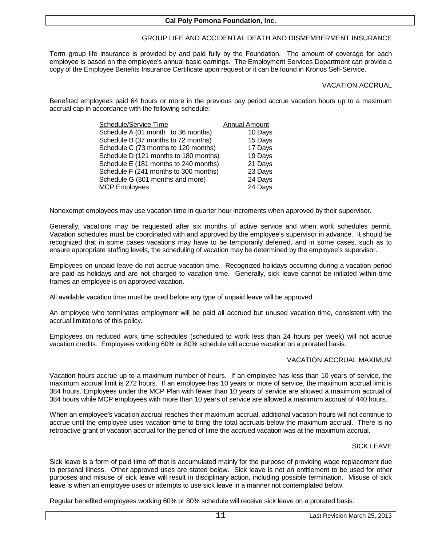# GROUP LIFE AND ACCIDENTAL DEATH AND DISMEMBERMENT INSURANCE

Term group life insurance is provided by and paid fully by the Foundation. The amount of coverage for each employee is based on the employee's annual basic earnings. The Employment Services Department can provide a copy of the Employee Benefits Insurance Certificate upon request or it can be found in Kronos Self-Service.

#### VACATION ACCRUAL

Benefited employees paid 64 hours or more in the previous pay period accrue vacation hours up to a maximum accrual cap in accordance with the following schedule:

| Schedule/Service Time                 | <b>Annual Amount</b> |
|---------------------------------------|----------------------|
| Schedule A (01 month to 36 months)    | 10 Days              |
| Schedule B (37 months to 72 months)   | 15 Days              |
| Schedule C (73 months to 120 months)  | 17 Days              |
| Schedule D (121 months to 180 months) | 19 Days              |
| Schedule E (181 months to 240 months) | 21 Days              |
| Schedule F (241 months to 300 months) | 23 Days              |
| Schedule G (301 months and more)      | 24 Days              |
| <b>MCP Employees</b>                  | 24 Days              |

Nonexempt employees may use vacation time in quarter hour increments when approved by their supervisor.

Generally, vacations may be requested after six months of active service and when work schedules permit. Vacation schedules must be coordinated with and approved by the employee's supervisor in advance. It should be recognized that in some cases vacations may have to be temporarily deferred, and in some cases, such as to ensure appropriate staffing levels, the scheduling of vacation may be determined by the employee's supervisor.

Employees on unpaid leave do not accrue vacation time. Recognized holidays occurring during a vacation period are paid as holidays and are not charged to vacation time. Generally, sick leave cannot be initiated within time frames an employee is on approved vacation.

All available vacation time must be used before any type of unpaid leave will be approved.

An employee who terminates employment will be paid all accrued but unused vacation time, consistent with the accrual limitations of this policy.

Employees on reduced work time schedules (scheduled to work less than 24 hours per week) will not accrue vacation credits. Employees working 60% or 80% schedule will accrue vacation on a prorated basis.

#### VACATION ACCRUAL MAXIMUM

Vacation hours accrue up to a maximum number of hours. If an employee has less than 10 years of service, the maximum accrual limit is 272 hours. If an employee has 10 years or more of service, the maximum accrual limit is 384 hours. Employees under the MCP Plan with fewer than 10 years of service are allowed a maximum accrual of 384 hours while MCP employees with more than 10 years of service are allowed a maximum accrual of 440 hours.

When an employee's vacation accrual reaches their maximum accrual, additional vacation hours will not continue to accrue until the employee uses vacation time to bring the total accruals below the maximum accrual. There is no retroactive grant of vacation accrual for the period of time the accrued vacation was at the maximum accrual.

#### SICK LEAVE

Sick leave is a form of paid time off that is accumulated mainly for the purpose of providing wage replacement due to personal illness. Other approved uses are stated below. Sick leave is not an entitlement to be used for other purposes and misuse of sick leave will result in disciplinary action, including possible termination. Misuse of sick leave is when an employee uses or attempts to use sick leave in a manner not contemplated below.

Regular benefited employees working 60% or 80% schedule will receive sick leave on a prorated basis.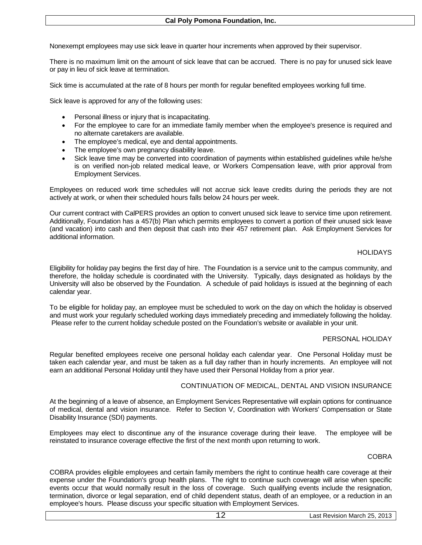Nonexempt employees may use sick leave in quarter hour increments when approved by their supervisor.

There is no maximum limit on the amount of sick leave that can be accrued. There is no pay for unused sick leave or pay in lieu of sick leave at termination.

Sick time is accumulated at the rate of 8 hours per month for regular benefited employees working full time.

Sick leave is approved for any of the following uses:

- Personal illness or injury that is incapacitating.
- For the employee to care for an immediate family member when the employee's presence is required and no alternate caretakers are available.
- The employee's medical, eye and dental appointments.
- The employee's own pregnancy disability leave.
- Sick leave time may be converted into coordination of payments within established guidelines while he/she is on verified non-job related medical leave, or Workers Compensation leave, with prior approval from Employment Services.

Employees on reduced work time schedules will not accrue sick leave credits during the periods they are not actively at work, or when their scheduled hours falls below 24 hours per week.

Our current contract with CalPERS provides an option to convert unused sick leave to service time upon retirement. Additionally, Foundation has a 457(b) Plan which permits employees to convert a portion of their unused sick leave (and vacation) into cash and then deposit that cash into their 457 retirement plan. Ask Employment Services for additional information.

#### HOLIDAYS

Eligibility for holiday pay begins the first day of hire. The Foundation is a service unit to the campus community, and therefore, the holiday schedule is coordinated with the University. Typically, days designated as holidays by the University will also be observed by the Foundation. A schedule of paid holidays is issued at the beginning of each calendar year.

To be eligible for holiday pay, an employee must be scheduled to work on the day on which the holiday is observed and must work your regularly scheduled working days immediately preceding and immediately following the holiday. Please refer to the current holiday schedule posted on the Foundation's website or available in your unit.

#### PERSONAL HOLIDAY

Regular benefited employees receive one personal holiday each calendar year. One Personal Holiday must be taken each calendar year, and must be taken as a full day rather than in hourly increments. An employee will not earn an additional Personal Holiday until they have used their Personal Holiday from a prior year.

#### CONTINUATION OF MEDICAL, DENTAL AND VISION INSURANCE

At the beginning of a leave of absence, an Employment Services Representative will explain options for continuance of medical, dental and vision insurance. Refer to Section V, Coordination with Workers' Compensation or State Disability Insurance (SDI) payments.

Employees may elect to discontinue any of the insurance coverage during their leave. The employee will be reinstated to insurance coverage effective the first of the next month upon returning to work.

#### COBRA

COBRA provides eligible employees and certain family members the right to continue health care coverage at their expense under the Foundation's group health plans. The right to continue such coverage will arise when specific events occur that would normally result in the loss of coverage. Such qualifying events include the resignation, termination, divorce or legal separation, end of child dependent status, death of an employee, or a reduction in an employee's hours. Please discuss your specific situation with Employment Services.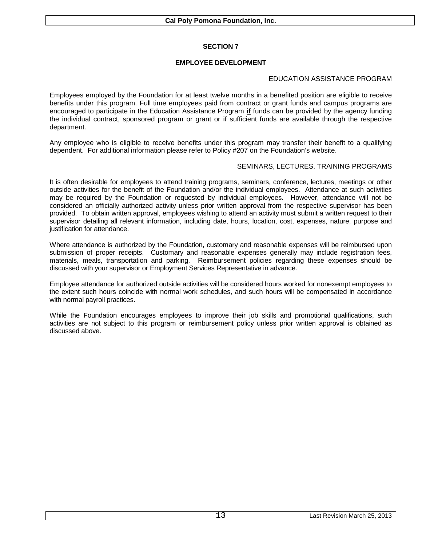# **EMPLOYEE DEVELOPMENT**

### EDUCATION ASSISTANCE PROGRAM

Employees employed by the Foundation for at least twelve months in a benefited position are eligible to receive benefits under this program. Full time employees paid from contract or grant funds and campus programs are encouraged to participate in the Education Assistance Program **if** funds can be provided by the agency funding the individual contract, sponsored program or grant or if sufficient funds are available through the respective department.

Any employee who is eligible to receive benefits under this program may transfer their benefit to a qualifying dependent. For additional information please refer to Policy #207 on the Foundation's website.

## SEMINARS, LECTURES, TRAINING PROGRAMS

It is often desirable for employees to attend training programs, seminars, conference, lectures, meetings or other outside activities for the benefit of the Foundation and/or the individual employees. Attendance at such activities may be required by the Foundation or requested by individual employees. However, attendance will not be considered an officially authorized activity unless prior written approval from the respective supervisor has been provided. To obtain written approval, employees wishing to attend an activity must submit a written request to their supervisor detailing all relevant information, including date, hours, location, cost, expenses, nature, purpose and justification for attendance.

Where attendance is authorized by the Foundation, customary and reasonable expenses will be reimbursed upon submission of proper receipts. Customary and reasonable expenses generally may include registration fees, materials, meals, transportation and parking. Reimbursement policies regarding these expenses should be discussed with your supervisor or Employment Services Representative in advance.

Employee attendance for authorized outside activities will be considered hours worked for nonexempt employees to the extent such hours coincide with normal work schedules, and such hours will be compensated in accordance with normal payroll practices.

While the Foundation encourages employees to improve their job skills and promotional qualifications, such activities are not subject to this program or reimbursement policy unless prior written approval is obtained as discussed above.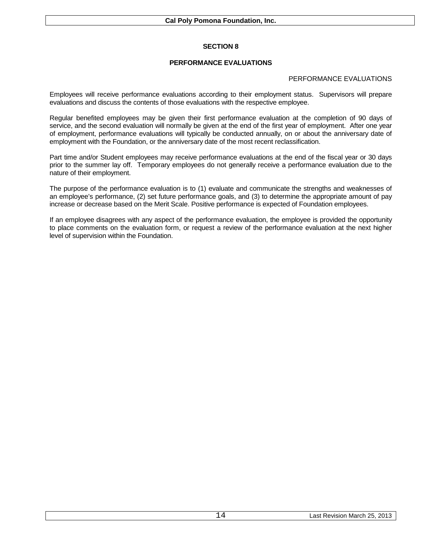# **PERFORMANCE EVALUATIONS**

## PERFORMANCE EVALUATIONS

Employees will receive performance evaluations according to their employment status. Supervisors will prepare evaluations and discuss the contents of those evaluations with the respective employee.

Regular benefited employees may be given their first performance evaluation at the completion of 90 days of service, and the second evaluation will normally be given at the end of the first year of employment. After one year of employment, performance evaluations will typically be conducted annually, on or about the anniversary date of employment with the Foundation, or the anniversary date of the most recent reclassification.

Part time and/or Student employees may receive performance evaluations at the end of the fiscal year or 30 days prior to the summer lay off. Temporary employees do not generally receive a performance evaluation due to the nature of their employment.

The purpose of the performance evaluation is to (1) evaluate and communicate the strengths and weaknesses of an employee's performance, (2) set future performance goals, and (3) to determine the appropriate amount of pay increase or decrease based on the Merit Scale. Positive performance is expected of Foundation employees.

If an employee disagrees with any aspect of the performance evaluation, the employee is provided the opportunity to place comments on the evaluation form, or request a review of the performance evaluation at the next higher level of supervision within the Foundation.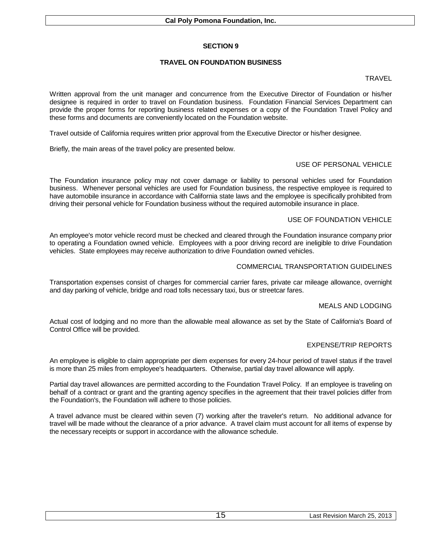# **TRAVEL ON FOUNDATION BUSINESS**

#### **TRAVEL**

Written approval from the unit manager and concurrence from the Executive Director of Foundation or his/her designee is required in order to travel on Foundation business. Foundation Financial Services Department can provide the proper forms for reporting business related expenses or a copy of the Foundation Travel Policy and these forms and documents are conveniently located on the Foundation website.

Travel outside of California requires written prior approval from the Executive Director or his/her designee.

Briefly, the main areas of the travel policy are presented below.

## USE OF PERSONAL VEHICLE

The Foundation insurance policy may not cover damage or liability to personal vehicles used for Foundation business. Whenever personal vehicles are used for Foundation business, the respective employee is required to have automobile insurance in accordance with California state laws and the employee is specifically prohibited from driving their personal vehicle for Foundation business without the required automobile insurance in place.

## USE OF FOUNDATION VEHICLE

An employee's motor vehicle record must be checked and cleared through the Foundation insurance company prior to operating a Foundation owned vehicle. Employees with a poor driving record are ineligible to drive Foundation vehicles. State employees may receive authorization to drive Foundation owned vehicles.

## COMMERCIAL TRANSPORTATION GUIDELINES

Transportation expenses consist of charges for commercial carrier fares, private car mileage allowance, overnight and day parking of vehicle, bridge and road tolls necessary taxi, bus or streetcar fares.

#### MEALS AND LODGING

Actual cost of lodging and no more than the allowable meal allowance as set by the State of California's Board of Control Office will be provided.

# EXPENSE/TRIP REPORTS

An employee is eligible to claim appropriate per diem expenses for every 24-hour period of travel status if the travel is more than 25 miles from employee's headquarters. Otherwise, partial day travel allowance will apply.

Partial day travel allowances are permitted according to the Foundation Travel Policy. If an employee is traveling on behalf of a contract or grant and the granting agency specifies in the agreement that their travel policies differ from the Foundation's, the Foundation will adhere to those policies.

A travel advance must be cleared within seven (7) working after the traveler's return. No additional advance for travel will be made without the clearance of a prior advance. A travel claim must account for all items of expense by the necessary receipts or support in accordance with the allowance schedule.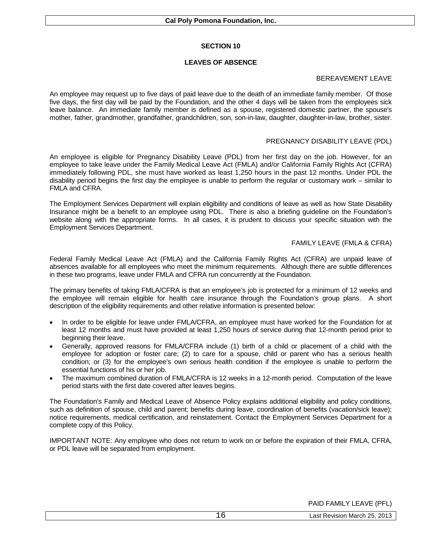### **LEAVES OF ABSENCE**

## BEREAVEMENT LEAVE

An employee may request up to five days of paid leave due to the death of an immediate family member. Of those five days, the first day will be paid by the Foundation, and the other 4 days will be taken from the employees sick leave balance. An immediate family member is defined as a spouse, registered domestic partner, the spouse's mother, father, grandmother, grandfather, grandchildren, son, son-in-law, daughter, daughter-in-law, brother, sister.

## PREGNANCY DISABILITY LEAVE (PDL)

An employee is eligible for Pregnancy Disability Leave (PDL) from her first day on the job. However, for an employee to take leave under the Family Medical Leave Act (FMLA) and/or California Family Rights Act (CFRA) immediately following PDL, she must have worked as least 1,250 hours in the past 12 months. Under PDL the disability period begins the first day the employee is unable to perform the regular or customary work – similar to FMLA and CFRA.

The Employment Services Department will explain eligibility and conditions of leave as well as how State Disability Insurance might be a benefit to an employee using PDL. There is also a briefing guideline on the Foundation's website along with the appropriate forms. In all cases, it is prudent to discuss your specific situation with the Employment Services Department.

## FAMILY LEAVE (FMLA & CFRA)

Federal Family Medical Leave Act (FMLA) and the California Family Rights Act (CFRA) are unpaid leave of absences available for all employees who meet the minimum requirements. Although there are subtle differences in these two programs, leave under FMLA and CFRA run concurrently at the Foundation.

The primary benefits of taking FMLA/CFRA is that an employee's job is protected for a minimum of 12 weeks and the employee will remain eligible for health care insurance through the Foundation's group plans. A short description of the eligibility requirements and other relative information is presented below:

- In order to be eligible for leave under FMLA/CFRA, an employee must have worked for the Foundation for at least 12 months and must have provided at least 1,250 hours of service during that 12-month period prior to beginning their leave.
- Generally, approved reasons for FMLA/CFRA include (1) birth of a child or placement of a child with the employee for adoption or foster care; (2) to care for a spouse, child or parent who has a serious health condition; or (3) for the employee's own serious health condition if the employee is unable to perform the essential functions of his or her job.
- The maximum combined duration of FMLA/CFRA is 12 weeks in a 12-month period. Computation of the leave period starts with the first date covered after leaves begins.

The Foundation's Family and Medical Leave of Absence Policy explains additional eligibility and policy conditions, such as definition of spouse, child and parent; benefits during leave, coordination of benefits (vacation/sick leave); notice requirements, medical certification, and reinstatement. Contact the Employment Services Department for a complete copy of this Policy.

IMPORTANT NOTE: Any employee who does not return to work on or before the expiration of their FMLA, CFRA, or PDL leave will be separated from employment.

PAID FAMILY LEAVE (PFL)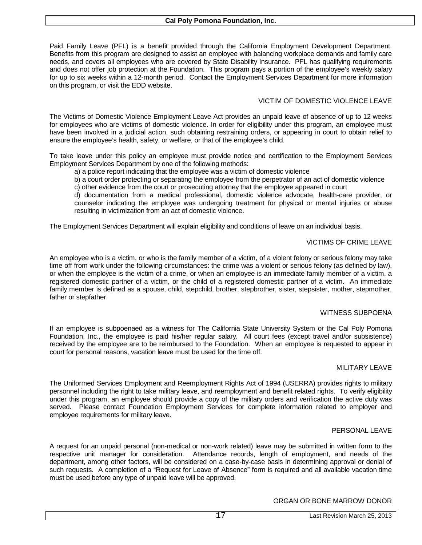Paid Family Leave (PFL) is a benefit provided through the California Employment Development Department. Benefits from this program are designed to assist an employee with balancing workplace demands and family care needs, and covers all employees who are covered by State Disability Insurance. PFL has qualifying requirements and does not offer job protection at the Foundation. This program pays a portion of the employee's weekly salary for up to six weeks within a 12-month period. Contact the Employment Services Department for more information on this program, or visit the EDD website.

# VICTIM OF DOMESTIC VIOLENCE LEAVE

The Victims of Domestic Violence Employment Leave Act provides an unpaid leave of absence of up to 12 weeks for employees who are victims of domestic violence. In order for eligibility under this program, an employee must have been involved in a judicial action, such obtaining restraining orders, or appearing in court to obtain relief to ensure the employee's health, safety, or welfare, or that of the employee's child.

To take leave under this policy an employee must provide notice and certification to the Employment Services Employment Services Department by one of the following methods:

a) a police report indicating that the employee was a victim of domestic violence

b) a court order protecting or separating the employee from the perpetrator of an act of domestic violence

c) other evidence from the court or prosecuting attorney that the employee appeared in court

d) documentation from a medical professional, domestic violence advocate, health-care provider, or counselor indicating the employee was undergoing treatment for physical or mental injuries or abuse resulting in victimization from an act of domestic violence.

The Employment Services Department will explain eligibility and conditions of leave on an individual basis.

## VICTIMS OF CRIME LEAVE

An employee who is a victim, or who is the family member of a victim, of a violent felony or serious felony may take time off from work under the following circumstances: the crime was a violent or serious felony (as defined by law), or when the employee is the victim of a crime, or when an employee is an immediate family member of a victim, a registered domestic partner of a victim, or the child of a registered domestic partner of a victim. An immediate family member is defined as a spouse, child, stepchild, brother, stepbrother, sister, stepsister, mother, stepmother, father or stepfather.

#### WITNESS SUBPOENA

If an employee is subpoenaed as a witness for The California State University System or the Cal Poly Pomona Foundation, Inc., the employee is paid his/her regular salary. All court fees (except travel and/or subsistence) received by the employee are to be reimbursed to the Foundation. When an employee is requested to appear in court for personal reasons, vacation leave must be used for the time off.

#### MILITARY LEAVE

The Uniformed Services Employment and Reemployment Rights Act of 1994 (USERRA) provides rights to military personnel including the right to take military leave, and reemployment and benefit related rights. To verify eligibility under this program, an employee should provide a copy of the military orders and verification the active duty was served. Please contact Foundation Employment Services for complete information related to employer and employee requirements for military leave.

#### PERSONAL LEAVE

A request for an unpaid personal (non-medical or non-work related) leave may be submitted in written form to the respective unit manager for consideration. Attendance records, length of employment, and needs of the department, among other factors, will be considered on a case-by-case basis in determining approval or denial of such requests. A completion of a "Request for Leave of Absence" form is required and all available vacation time must be used before any type of unpaid leave will be approved.

#### ORGAN OR BONE MARROW DONOR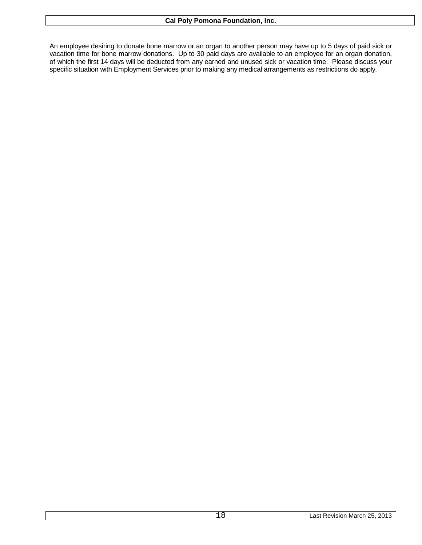An employee desiring to donate bone marrow or an organ to another person may have up to 5 days of paid sick or vacation time for bone marrow donations. Up to 30 paid days are available to an employee for an organ donation, of which the first 14 days will be deducted from any earned and unused sick or vacation time. Please discuss your specific situation with Employment Services prior to making any medical arrangements as restrictions do apply.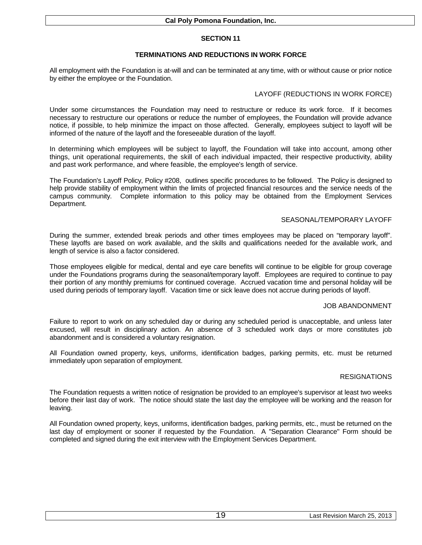# **TERMINATIONS AND REDUCTIONS IN WORK FORCE**

All employment with the Foundation is at-will and can be terminated at any time, with or without cause or prior notice by either the employee or the Foundation.

# LAYOFF (REDUCTIONS IN WORK FORCE)

Under some circumstances the Foundation may need to restructure or reduce its work force. If it becomes necessary to restructure our operations or reduce the number of employees, the Foundation will provide advance notice, if possible, to help minimize the impact on those affected. Generally, employees subject to layoff will be informed of the nature of the layoff and the foreseeable duration of the layoff.

In determining which employees will be subject to layoff, the Foundation will take into account, among other things, unit operational requirements, the skill of each individual impacted, their respective productivity, ability and past work performance, and where feasible, the employee's length of service.

The Foundation's Layoff Policy, Policy #208, outlines specific procedures to be followed. The Policy is designed to help provide stability of employment within the limits of projected financial resources and the service needs of the campus community. Complete information to this policy may be obtained from the Employment Services Department.

## SEASONAL/TEMPORARY LAYOFF

During the summer, extended break periods and other times employees may be placed on "temporary layoff". These layoffs are based on work available, and the skills and qualifications needed for the available work, and length of service is also a factor considered.

Those employees eligible for medical, dental and eye care benefits will continue to be eligible for group coverage under the Foundations programs during the seasonal/temporary layoff. Employees are required to continue to pay their portion of any monthly premiums for continued coverage. Accrued vacation time and personal holiday will be used during periods of temporary layoff. Vacation time or sick leave does not accrue during periods of layoff.

#### JOB ABANDONMENT

Failure to report to work on any scheduled day or during any scheduled period is unacceptable, and unless later excused, will result in disciplinary action. An absence of 3 scheduled work days or more constitutes job abandonment and is considered a voluntary resignation.

All Foundation owned property, keys, uniforms, identification badges, parking permits, etc. must be returned immediately upon separation of employment.

# RESIGNATIONS

The Foundation requests a written notice of resignation be provided to an employee's supervisor at least two weeks before their last day of work. The notice should state the last day the employee will be working and the reason for leaving.

All Foundation owned property, keys, uniforms, identification badges, parking permits, etc., must be returned on the last day of employment or sooner if requested by the Foundation. A "Separation Clearance" Form should be completed and signed during the exit interview with the Employment Services Department.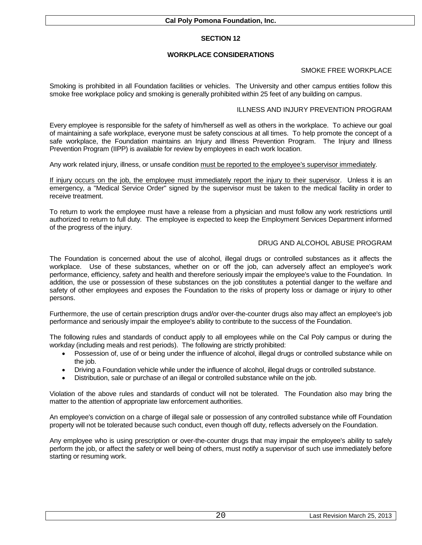# **WORKPLACE CONSIDERATIONS**

## SMOKE FREE WORKPLACE

Smoking is prohibited in all Foundation facilities or vehicles. The University and other campus entities follow this smoke free workplace policy and smoking is generally prohibited within 25 feet of any building on campus.

### ILLNESS AND INJURY PREVENTION PROGRAM

Every employee is responsible for the safety of him/herself as well as others in the workplace. To achieve our goal of maintaining a safe workplace, everyone must be safety conscious at all times. To help promote the concept of a safe workplace, the Foundation maintains an Injury and Illness Prevention Program. The Injury and Illness Prevention Program (IIPP) is available for review by employees in each work location.

Any work related injury, illness, or unsafe condition must be reported to the employee's supervisor immediately.

If injury occurs on the job, the employee must immediately report the injury to their supervisor. Unless it is an emergency, a "Medical Service Order" signed by the supervisor must be taken to the medical facility in order to receive treatment.

To return to work the employee must have a release from a physician and must follow any work restrictions until authorized to return to full duty. The employee is expected to keep the Employment Services Department informed of the progress of the injury.

## DRUG AND ALCOHOL ABUSE PROGRAM

The Foundation is concerned about the use of alcohol, illegal drugs or controlled substances as it affects the workplace. Use of these substances, whether on or off the job, can adversely affect an employee's work performance, efficiency, safety and health and therefore seriously impair the employee's value to the Foundation. In addition, the use or possession of these substances on the job constitutes a potential danger to the welfare and safety of other employees and exposes the Foundation to the risks of property loss or damage or injury to other persons.

Furthermore, the use of certain prescription drugs and/or over-the-counter drugs also may affect an employee's job performance and seriously impair the employee's ability to contribute to the success of the Foundation.

The following rules and standards of conduct apply to all employees while on the Cal Poly campus or during the workday (including meals and rest periods). The following are strictly prohibited:

- Possession of, use of or being under the influence of alcohol, illegal drugs or controlled substance while on the job.
- Driving a Foundation vehicle while under the influence of alcohol, illegal drugs or controlled substance.
- Distribution, sale or purchase of an illegal or controlled substance while on the job.

Violation of the above rules and standards of conduct will not be tolerated. The Foundation also may bring the matter to the attention of appropriate law enforcement authorities.

An employee's conviction on a charge of illegal sale or possession of any controlled substance while off Foundation property will not be tolerated because such conduct, even though off duty, reflects adversely on the Foundation.

Any employee who is using prescription or over-the-counter drugs that may impair the employee's ability to safely perform the job, or affect the safety or well being of others, must notify a supervisor of such use immediately before starting or resuming work.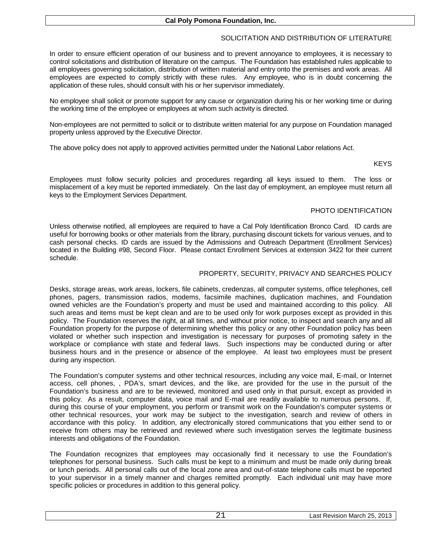# SOLICITATION AND DISTRIBUTION OF LITERATURE

In order to ensure efficient operation of our business and to prevent annoyance to employees, it is necessary to control solicitations and distribution of literature on the campus. The Foundation has established rules applicable to all employees governing solicitation, distribution of written material and entry onto the premises and work areas. All employees are expected to comply strictly with these rules. Any employee, who is in doubt concerning the application of these rules, should consult with his or her supervisor immediately.

No employee shall solicit or promote support for any cause or organization during his or her working time or during the working time of the employee or employees at whom such activity is directed.

Non-employees are not permitted to solicit or to distribute written material for any purpose on Foundation managed property unless approved by the Executive Director.

The above policy does not apply to approved activities permitted under the National Labor relations Act.

#### **KEYS**

Employees must follow security policies and procedures regarding all keys issued to them. The loss or misplacement of a key must be reported immediately. On the last day of employment, an employee must return all keys to the Employment Services Department.

# PHOTO IDENTIFICATION

Unless otherwise notified, all employees are required to have a Cal Poly Identification Bronco Card. ID cards are useful for borrowing books or other materials from the library, purchasing discount tickets for various venues, and to cash personal checks. ID cards are issued by the Admissions and Outreach Department (Enrollment Services) located in the Building #98, Second Floor. Please contact Enrollment Services at extension 3422 for their current schedule.

### PROPERTY, SECURITY, PRIVACY AND SEARCHES POLICY

Desks, storage areas, work areas, lockers, file cabinets, credenzas, all computer systems, office telephones, cell phones, pagers, transmission radios, modems, facsimile machines, duplication machines, and Foundation owned vehicles are the Foundation's property and must be used and maintained according to this policy. All such areas and items must be kept clean and are to be used only for work purposes except as provided in this policy. The Foundation reserves the right, at all times, and without prior notice, to inspect and search any and all Foundation property for the purpose of determining whether this policy or any other Foundation policy has been violated or whether such inspection and investigation is necessary for purposes of promoting safety in the workplace or compliance with state and federal laws. Such inspections may be conducted during or after business hours and in the presence or absence of the employee. At least two employees must be present during any inspection.

The Foundation's computer systems and other technical resources, including any voice mail, E-mail, or Internet access, cell phones, , PDA's, smart devices, and the like, are provided for the use in the pursuit of the Foundation's business and are to be reviewed, monitored and used only in that pursuit, except as provided in this policy. As a result, computer data, voice mail and E-mail are readily available to numerous persons. If, during this course of your employment, you perform or transmit work on the Foundation's computer systems or other technical resources, your work may be subject to the investigation, search and review of others in accordance with this policy. In addition, any electronically stored communications that you either send to or receive from others may be retrieved and reviewed where such investigation serves the legitimate business interests and obligations of the Foundation.

The Foundation recognizes that employees may occasionally find it necessary to use the Foundation's telephones for personal business. Such calls must be kept to a minimum and must be made only during break or lunch periods. All personal calls out of the local zone area and out-of-state telephone calls must be reported to your supervisor in a timely manner and charges remitted promptly. Each individual unit may have more specific policies or procedures in addition to this general policy.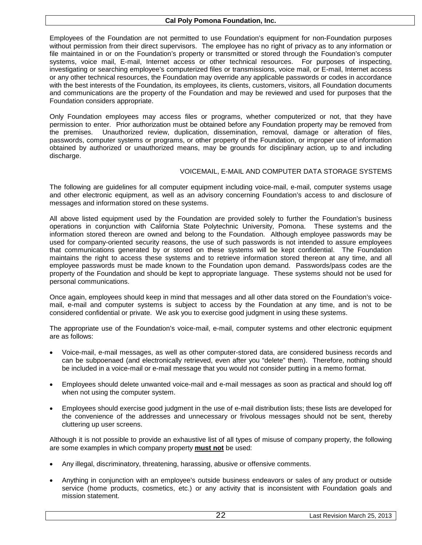Employees of the Foundation are not permitted to use Foundation's equipment for non-Foundation purposes without permission from their direct supervisors. The employee has no right of privacy as to any information or file maintained in or on the Foundation's property or transmitted or stored through the Foundation's computer systems, voice mail, E-mail, Internet access or other technical resources. For purposes of inspecting, investigating or searching employee's computerized files or transmissions, voice mail, or E-mail, Internet access or any other technical resources, the Foundation may override any applicable passwords or codes in accordance with the best interests of the Foundation, its employees, its clients, customers, visitors, all Foundation documents and communications are the property of the Foundation and may be reviewed and used for purposes that the Foundation considers appropriate.

Only Foundation employees may access files or programs, whether computerized or not, that they have permission to enter. Prior authorization must be obtained before any Foundation property may be removed from the premises. Unauthorized review, duplication, dissemination, removal, damage or alteration of files, passwords, computer systems or programs, or other property of the Foundation, or improper use of information obtained by authorized or unauthorized means, may be grounds for disciplinary action, up to and including discharge.

#### VOICEMAIL, E-MAIL AND COMPUTER DATA STORAGE SYSTEMS

The following are guidelines for all computer equipment including voice-mail, e-mail, computer systems usage and other electronic equipment, as well as an advisory concerning Foundation's access to and disclosure of messages and information stored on these systems.

All above listed equipment used by the Foundation are provided solely to further the Foundation's business operations in conjunction with California State Polytechnic University, Pomona. These systems and the information stored thereon are owned and belong to the Foundation. Although employee passwords may be used for company-oriented security reasons, the use of such passwords is not intended to assure employees that communications generated by or stored on these systems will be kept confidential. The Foundation maintains the right to access these systems and to retrieve information stored thereon at any time, and all employee passwords must be made known to the Foundation upon demand. Passwords/pass codes are the property of the Foundation and should be kept to appropriate language. These systems should not be used for personal communications.

Once again, employees should keep in mind that messages and all other data stored on the Foundation's voicemail, e-mail and computer systems is subject to access by the Foundation at any time, and is not to be considered confidential or private. We ask you to exercise good judgment in using these systems.

The appropriate use of the Foundation's voice-mail, e-mail, computer systems and other electronic equipment are as follows:

- Voice-mail, e-mail messages, as well as other computer-stored data, are considered business records and can be subpoenaed (and electronically retrieved, even after you "delete" them). Therefore, nothing should be included in a voice-mail or e-mail message that you would not consider putting in a memo format.
- Employees should delete unwanted voice-mail and e-mail messages as soon as practical and should log off when not using the computer system.
- Employees should exercise good judgment in the use of e-mail distribution lists; these lists are developed for the convenience of the addresses and unnecessary or frivolous messages should not be sent, thereby cluttering up user screens.

Although it is not possible to provide an exhaustive list of all types of misuse of company property, the following are some examples in which company property **must not** be used:

- Any illegal, discriminatory, threatening, harassing, abusive or offensive comments.
- Anything in conjunction with an employee's outside business endeavors or sales of any product or outside service (home products, cosmetics, etc.) or any activity that is inconsistent with Foundation goals and mission statement.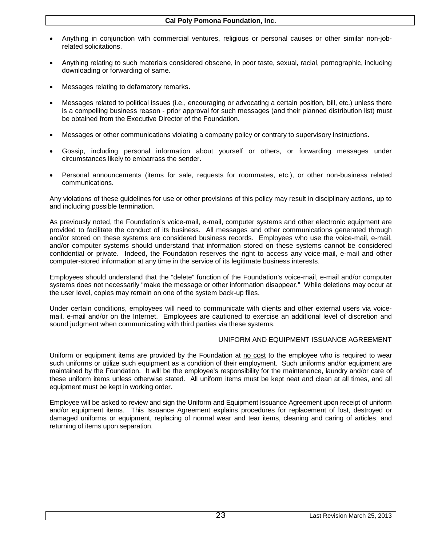- Anything in conjunction with commercial ventures, religious or personal causes or other similar non-jobrelated solicitations.
- Anything relating to such materials considered obscene, in poor taste, sexual, racial, pornographic, including downloading or forwarding of same.
- Messages relating to defamatory remarks.
- Messages related to political issues (i.e., encouraging or advocating a certain position, bill, etc.) unless there is a compelling business reason - prior approval for such messages (and their planned distribution list) must be obtained from the Executive Director of the Foundation.
- Messages or other communications violating a company policy or contrary to supervisory instructions.
- Gossip, including personal information about yourself or others, or forwarding messages under circumstances likely to embarrass the sender.
- Personal announcements (items for sale, requests for roommates, etc.), or other non-business related communications.

Any violations of these guidelines for use or other provisions of this policy may result in disciplinary actions, up to and including possible termination.

As previously noted, the Foundation's voice-mail, e-mail, computer systems and other electronic equipment are provided to facilitate the conduct of its business. All messages and other communications generated through and/or stored on these systems are considered business records. Employees who use the voice-mail, e-mail, and/or computer systems should understand that information stored on these systems cannot be considered confidential or private. Indeed, the Foundation reserves the right to access any voice-mail, e-mail and other computer-stored information at any time in the service of its legitimate business interests.

Employees should understand that the "delete" function of the Foundation's voice-mail, e-mail and/or computer systems does not necessarily "make the message or other information disappear." While deletions may occur at the user level, copies may remain on one of the system back-up files.

Under certain conditions, employees will need to communicate with clients and other external users via voicemail, e-mail and/or on the Internet. Employees are cautioned to exercise an additional level of discretion and sound judgment when communicating with third parties via these systems.

#### UNIFORM AND EQUIPMENT ISSUANCE AGREEMENT

Uniform or equipment items are provided by the Foundation at no cost to the employee who is required to wear such uniforms or utilize such equipment as a condition of their employment. Such uniforms and/or equipment are maintained by the Foundation. It will be the employee's responsibility for the maintenance, laundry and/or care of these uniform items unless otherwise stated. All uniform items must be kept neat and clean at all times, and all equipment must be kept in working order.

Employee will be asked to review and sign the Uniform and Equipment Issuance Agreement upon receipt of uniform and/or equipment items. This Issuance Agreement explains procedures for replacement of lost, destroyed or damaged uniforms or equipment, replacing of normal wear and tear items, cleaning and caring of articles, and returning of items upon separation.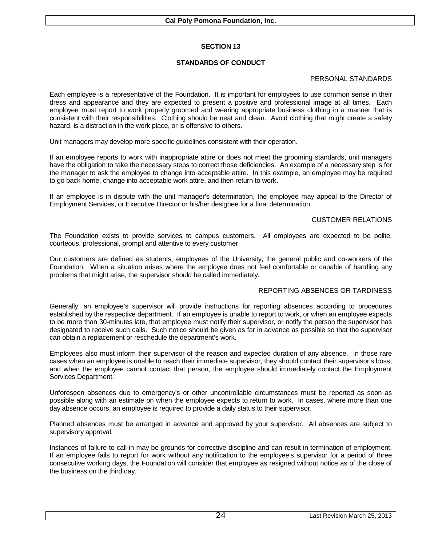# **STANDARDS OF CONDUCT**

# PERSONAL STANDARDS

Each employee is a representative of the Foundation. It is important for employees to use common sense in their dress and appearance and they are expected to present a positive and professional image at all times. Each employee must report to work properly groomed and wearing appropriate business clothing in a manner that is consistent with their responsibilities. Clothing should be neat and clean. Avoid clothing that might create a safety hazard, is a distraction in the work place, or is offensive to others.

Unit managers may develop more specific guidelines consistent with their operation.

If an employee reports to work with inappropriate attire or does not meet the grooming standards, unit managers have the obligation to take the necessary steps to correct those deficiencies. An example of a necessary step is for the manager to ask the employee to change into acceptable attire. In this example, an employee may be required to go back home, change into acceptable work attire, and then return to work.

If an employee is in dispute with the unit manager's determination, the employee may appeal to the Director of Employment Services, or Executive Director or his/her designee for a final determination.

## CUSTOMER RELATIONS

The Foundation exists to provide services to campus customers. All employees are expected to be polite, courteous, professional, prompt and attentive to every customer.

Our customers are defined as students, employees of the University, the general public and co-workers of the Foundation. When a situation arises where the employee does not feel comfortable or capable of handling any problems that might arise, the supervisor should be called immediately.

# REPORTING ABSENCES OR TARDINESS

Generally, an employee's supervisor will provide instructions for reporting absences according to procedures established by the respective department. If an employee is unable to report to work, or when an employee expects to be more than 30-minutes late, that employee must notify their supervisor, or notify the person the supervisor has designated to receive such calls. Such notice should be given as far in advance as possible so that the supervisor can obtain a replacement or reschedule the department's work.

Employees also must inform their supervisor of the reason and expected duration of any absence. In those rare cases when an employee is unable to reach their immediate supervisor, they should contact their supervisor's boss, and when the employee cannot contact that person, the employee should immediately contact the Employment Services Department.

Unforeseen absences due to emergency's or other uncontrollable circumstances must be reported as soon as possible along with an estimate on when the employee expects to return to work. In cases, where more than one day absence occurs, an employee is required to provide a daily status to their supervisor.

Planned absences must be arranged in advance and approved by your supervisor. All absences are subject to supervisory approval.

Instances of failure to call-in may be grounds for corrective discipline and can result in termination of employment. If an employee fails to report for work without any notification to the employee's supervisor for a period of three consecutive working days, the Foundation will consider that employee as resigned without notice as of the close of the business on the third day.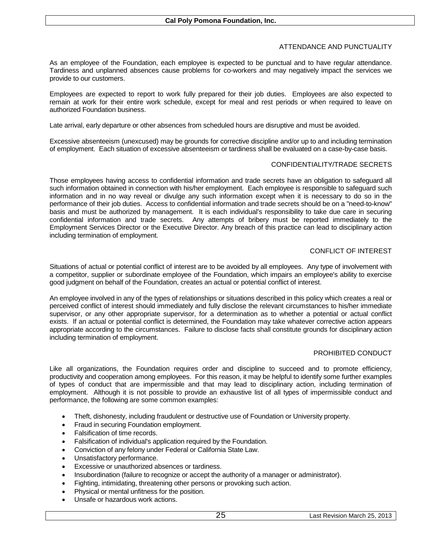# ATTENDANCE AND PUNCTUALITY

As an employee of the Foundation, each employee is expected to be punctual and to have regular attendance. Tardiness and unplanned absences cause problems for co-workers and may negatively impact the services we provide to our customers.

Employees are expected to report to work fully prepared for their job duties. Employees are also expected to remain at work for their entire work schedule, except for meal and rest periods or when required to leave on authorized Foundation business.

Late arrival, early departure or other absences from scheduled hours are disruptive and must be avoided.

Excessive absenteeism (unexcused) may be grounds for corrective discipline and/or up to and including termination of employment. Each situation of excessive absenteeism or tardiness shall be evaluated on a case-by-case basis.

# CONFIDENTIALITY/TRADE SECRETS

Those employees having access to confidential information and trade secrets have an obligation to safeguard all such information obtained in connection with his/her employment. Each employee is responsible to safeguard such information and in no way reveal or divulge any such information except when it is necessary to do so in the performance of their job duties. Access to confidential information and trade secrets should be on a "need-to-know" basis and must be authorized by management. It is each individual's responsibility to take due care in securing confidential information and trade secrets. Any attempts of bribery must be reported immediately to the Employment Services Director or the Executive Director. Any breach of this practice can lead to disciplinary action including termination of employment.

## CONFLICT OF INTEREST

Situations of actual or potential conflict of interest are to be avoided by all employees. Any type of involvement with a competitor, supplier or subordinate employee of the Foundation, which impairs an employee's ability to exercise good judgment on behalf of the Foundation, creates an actual or potential conflict of interest.

An employee involved in any of the types of relationships or situations described in this policy which creates a real or perceived conflict of interest should immediately and fully disclose the relevant circumstances to his/her immediate supervisor, or any other appropriate supervisor, for a determination as to whether a potential or actual conflict exists. If an actual or potential conflict is determined, the Foundation may take whatever corrective action appears appropriate according to the circumstances. Failure to disclose facts shall constitute grounds for disciplinary action including termination of employment.

#### PROHIBITED CONDUCT

Like all organizations, the Foundation requires order and discipline to succeed and to promote efficiency, productivity and cooperation among employees. For this reason, it may be helpful to identify some further examples of types of conduct that are impermissible and that may lead to disciplinary action, including termination of employment. Although it is not possible to provide an exhaustive list of all types of impermissible conduct and performance, the following are some common examples:

- Theft, dishonesty, including fraudulent or destructive use of Foundation or University property.
- Fraud in securing Foundation employment.
- Falsification of time records.
- Falsification of individual's application required by the Foundation.
- Conviction of any felony under Federal or California State Law.
- Unsatisfactory performance.
- Excessive or unauthorized absences or tardiness.
- Insubordination (failure to recognize or accept the authority of a manager or administrator).
- Fighting, intimidating, threatening other persons or provoking such action.
- Physical or mental unfitness for the position.
- Unsafe or hazardous work actions.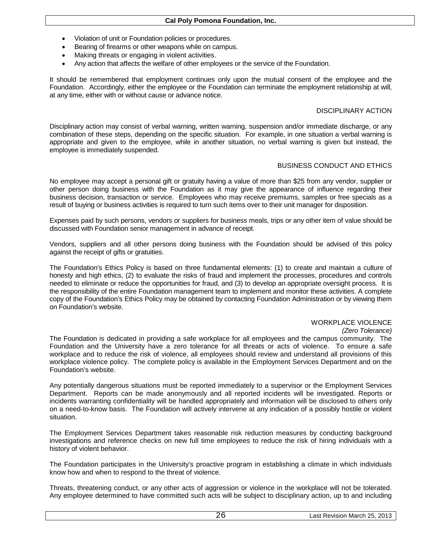### **Cal Poly Pomona Foundation, Inc.**

- Violation of unit or Foundation policies or procedures.
- Bearing of firearms or other weapons while on campus.
- Making threats or engaging in violent activities.
- Any action that affects the welfare of other employees or the service of the Foundation.

It should be remembered that employment continues only upon the mutual consent of the employee and the Foundation. Accordingly, either the employee or the Foundation can terminate the employment relationship at will, at any time, either with or without cause or advance notice.

## DISCIPLINARY ACTION

Disciplinary action may consist of verbal warning, written warning, suspension and/or immediate discharge, or any combination of these steps, depending on the specific situation. For example, in one situation a verbal warning is appropriate and given to the employee, while in another situation, no verbal warning is given but instead, the employee is immediately suspended.

#### BUSINESS CONDUCT AND ETHICS

No employee may accept a personal gift or gratuity having a value of more than \$25 from any vendor, supplier or other person doing business with the Foundation as it may give the appearance of influence regarding their business decision, transaction or service. Employees who may receive premiums, samples or free specials as a result of buying or business activities is required to turn such items over to their unit manager for disposition.

Expenses paid by such persons, vendors or suppliers for business meals, trips or any other item of value should be discussed with Foundation senior management in advance of receipt.

Vendors, suppliers and all other persons doing business with the Foundation should be advised of this policy against the receipt of gifts or gratuities.

The Foundation's Ethics Policy is based on three fundamental elements: (1) to create and maintain a culture of honesty and high ethics, (2) to evaluate the risks of fraud and implement the processes, procedures and controls needed to eliminate or reduce the opportunities for fraud, and (3) to develop an appropriate oversight process. It is the responsibility of the entire Foundation management team to implement and monitor these activities. A complete copy of the Foundation's Ethics Policy may be obtained by contacting Foundation Administration or by viewing them on Foundation's website.

# WORKPLACE VIOLENCE

#### *(Zero Tolerance)*

The Foundation is dedicated in providing a safe workplace for all employees and the campus community. The Foundation and the University have a zero tolerance for all threats or acts of violence. To ensure a safe workplace and to reduce the risk of violence, all employees should review and understand all provisions of this workplace violence policy. The complete policy is available in the Employment Services Department and on the Foundation's website.

Any potentially dangerous situations must be reported immediately to a supervisor or the Employment Services Department. Reports can be made anonymously and all reported incidents will be investigated. Reports or incidents warranting confidentiality will be handled appropriately and information will be disclosed to others only on a need-to-know basis. The Foundation will actively intervene at any indication of a possibly hostile or violent situation.

The Employment Services Department takes reasonable risk reduction measures by conducting background investigations and reference checks on new full time employees to reduce the risk of hiring individuals with a history of violent behavior.

The Foundation participates in the University's proactive program in establishing a climate in which individuals know how and when to respond to the threat of violence.

Threats, threatening conduct, or any other acts of aggression or violence in the workplace will not be tolerated. Any employee determined to have committed such acts will be subject to disciplinary action, up to and including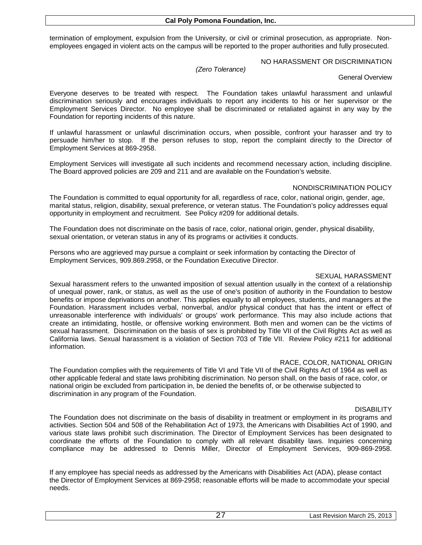termination of employment, expulsion from the University, or civil or criminal prosecution, as appropriate. Nonemployees engaged in violent acts on the campus will be reported to the proper authorities and fully prosecuted.

### NO HARASSMENT OR DISCRIMINATION

*(Zero Tolerance)*

#### General Overview

Everyone deserves to be treated with respect. The Foundation takes unlawful harassment and unlawful discrimination seriously and encourages individuals to report any incidents to his or her supervisor or the Employment Services Director. No employee shall be discriminated or retaliated against in any way by the Foundation for reporting incidents of this nature.

If unlawful harassment or unlawful discrimination occurs, when possible, confront your harasser and try to persuade him/her to stop. If the person refuses to stop, report the complaint directly to the Director of Employment Services at 869-2958.

Employment Services will investigate all such incidents and recommend necessary action, including discipline. The Board approved policies are 209 and 211 and are available on the Foundation's website.

## NONDISCRIMINATION POLICY

The Foundation is committed to equal opportunity for all, regardless of race, color, national origin, gender, age, marital status, religion, disability, sexual preference, or veteran status. The Foundation's policy addresses equal opportunity in employment and recruitment. See Policy #209 for additional details.

The Foundation does not discriminate on the basis of race, color, national origin, gender, physical disability, sexual orientation, or veteran status in any of its programs or activities it conducts.

Persons who are aggrieved may pursue a complaint or seek information by contacting the Director of Employment Services, 909.869.2958, or the Foundation Executive Director.

### SEXUAL HARASSMENT

Sexual harassment refers to the unwanted imposition of sexual attention usually in the context of a relationship of unequal power, rank, or status, as well as the use of one's position of authority in the Foundation to bestow benefits or impose deprivations on another. This applies equally to all employees, students, and managers at the Foundation. Harassment includes verbal, nonverbal, and/or physical conduct that has the intent or effect of unreasonable interference with individuals' or groups' work performance. This may also include actions that create an intimidating, hostile, or offensive working environment. Both men and women can be the victims of sexual harassment. Discrimination on the basis of sex is prohibited by Title VII of the Civil Rights Act as well as California laws. Sexual harassment is a violation of Section 703 of Title VII. Review Policy #211 for additional information.

#### RACE, COLOR, NATIONAL ORIGIN

The Foundation complies with the requirements of Title VI and Title VII of the Civil Rights Act of 1964 as well as other applicable federal and state laws prohibiting discrimination. No person shall, on the basis of race, color, or national origin be excluded from participation in, be denied the benefits of, or be otherwise subjected to discrimination in any program of the Foundation.

**DISABILITY** 

The Foundation does not discriminate on the basis of disability in treatment or employment in its programs and activities. Section 504 and 508 of the Rehabilitation Act of 1973, the Americans with Disabilities Act of 1990, and various state laws prohibit such discrimination. The Director of Employment Services has been designated to coordinate the efforts of the Foundation to comply with all relevant disability laws. Inquiries concerning compliance may be addressed to Dennis Miller, Director of Employment Services, 909-869-2958.

If any employee has special needs as addressed by the Americans with Disabilities Act (ADA), please contact the Director of Employment Services at 869-2958; reasonable efforts will be made to accommodate your special needs.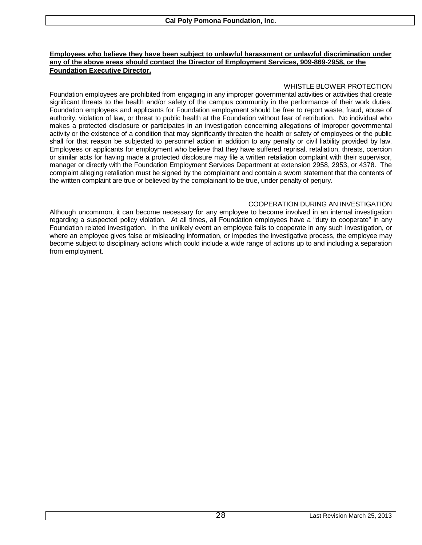### **Employees who believe they have been subject to unlawful harassment or unlawful discrimination under any of the above areas should contact the Director of Employment Services, 909-869-2958, or the Foundation Executive Director.**

# WHISTLE BLOWER PROTECTION

Foundation employees are prohibited from engaging in any improper governmental activities or activities that create significant threats to the health and/or safety of the campus community in the performance of their work duties. Foundation employees and applicants for Foundation employment should be free to report waste, fraud, abuse of authority, violation of law, or threat to public health at the Foundation without fear of retribution. No individual who makes a protected disclosure or participates in an investigation concerning allegations of improper governmental activity or the existence of a condition that may significantly threaten the health or safety of employees or the public shall for that reason be subjected to personnel action in addition to any penalty or civil liability provided by law. Employees or applicants for employment who believe that they have suffered reprisal, retaliation, threats, coercion or similar acts for having made a protected disclosure may file a written retaliation complaint with their supervisor, manager or directly with the Foundation Employment Services Department at extension 2958, 2953, or 4378. The complaint alleging retaliation must be signed by the complainant and contain a sworn statement that the contents of the written complaint are true or believed by the complainant to be true, under penalty of perjury.

## COOPERATION DURING AN INVESTIGATION

Although uncommon, it can become necessary for any employee to become involved in an internal investigation regarding a suspected policy violation. At all times, all Foundation employees have a "duty to cooperate" in any Foundation related investigation. In the unlikely event an employee fails to cooperate in any such investigation, or where an employee gives false or misleading information, or impedes the investigative process, the employee may become subject to disciplinary actions which could include a wide range of actions up to and including a separation from employment.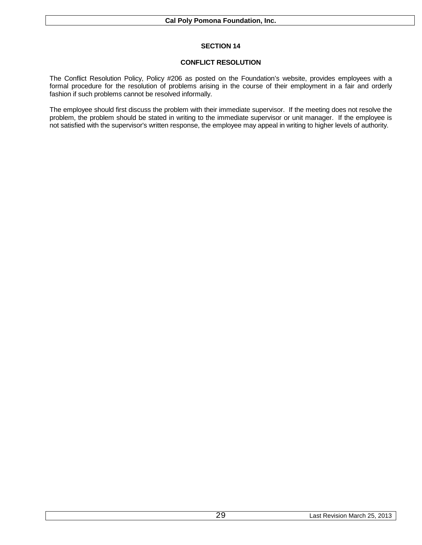# **CONFLICT RESOLUTION**

The Conflict Resolution Policy, Policy #206 as posted on the Foundation's website, provides employees with a formal procedure for the resolution of problems arising in the course of their employment in a fair and orderly fashion if such problems cannot be resolved informally.

The employee should first discuss the problem with their immediate supervisor. If the meeting does not resolve the problem, the problem should be stated in writing to the immediate supervisor or unit manager. If the employee is not satisfied with the supervisor's written response, the employee may appeal in writing to higher levels of authority.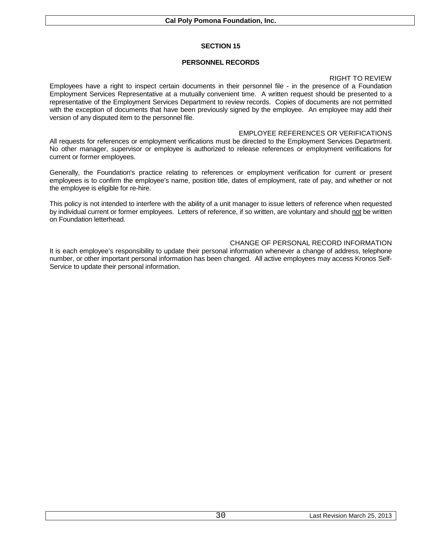# **PERSONNEL RECORDS**

## RIGHT TO REVIEW

Employees have a right to inspect certain documents in their personnel file - in the presence of a Foundation Employment Services Representative at a mutually convenient time. A written request should be presented to a representative of the Employment Services Department to review records. Copies of documents are not permitted with the exception of documents that have been previously signed by the employee. An employee may add their version of any disputed item to the personnel file.

# EMPLOYEE REFERENCES OR VERIFICATIONS

All requests for references or employment verifications must be directed to the Employment Services Department. No other manager, supervisor or employee is authorized to release references or employment verifications for current or former employees.

Generally, the Foundation's practice relating to references or employment verification for current or present employees is to confirm the employee's name, position title, dates of employment, rate of pay, and whether or not the employee is eligible for re-hire.

This policy is not intended to interfere with the ability of a unit manager to issue letters of reference when requested by individual current or former employees. Letters of reference, if so written, are voluntary and should not be written on Foundation letterhead.

# CHANGE OF PERSONAL RECORD INFORMATION

It is each employee's responsibility to update their personal information whenever a change of address, telephone number, or other important personal information has been changed. All active employees may access Kronos Self-Service to update their personal information.